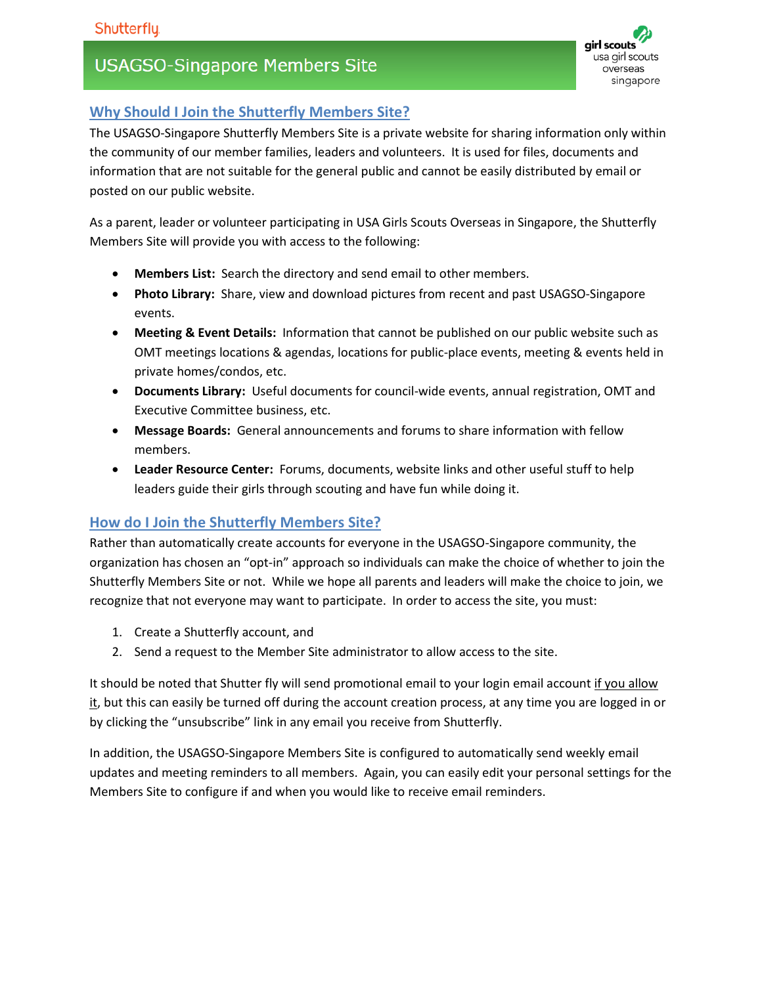# **USAGSO-Singapore Members Site**



## **Why Should I Join the Shutterfly Members Site?**

The USAGSO-Singapore Shutterfly Members Site is a private website for sharing information only within the community of our member families, leaders and volunteers. It is used for files, documents and information that are not suitable for the general public and cannot be easily distributed by email or posted on our public website.

As a parent, leader or volunteer participating in USA Girls Scouts Overseas in Singapore, the Shutterfly Members Site will provide you with access to the following:

- **Members List:** Search the directory and send email to other members.
- **Photo Library:** Share, view and download pictures from recent and past USAGSO-Singapore events.
- **Meeting & Event Details:** Information that cannot be published on our public website such as OMT meetings locations & agendas, locations for public-place events, meeting & events held in private homes/condos, etc.
- **Documents Library:** Useful documents for council-wide events, annual registration, OMT and Executive Committee business, etc.
- **Message Boards:** General announcements and forums to share information with fellow members.
- **Leader Resource Center:** Forums, documents, website links and other useful stuff to help leaders guide their girls through scouting and have fun while doing it.

#### **How do I Join the Shutterfly Members Site?**

Rather than automatically create accounts for everyone in the USAGSO-Singapore community, the organization has chosen an "opt-in" approach so individuals can make the choice of whether to join the Shutterfly Members Site or not. While we hope all parents and leaders will make the choice to join, we recognize that not everyone may want to participate. In order to access the site, you must:

- 1. Create a Shutterfly account, and
- 2. Send a request to the Member Site administrator to allow access to the site.

It should be noted that Shutter fly will send promotional email to your login email account if you allow it, but this can easily be turned off during the account creation process, at any time you are logged in or by clicking the "unsubscribe" link in any email you receive from Shutterfly.

In addition, the USAGSO-Singapore Members Site is configured to automatically send weekly email updates and meeting reminders to all members. Again, you can easily edit your personal settings for the Members Site to configure if and when you would like to receive email reminders.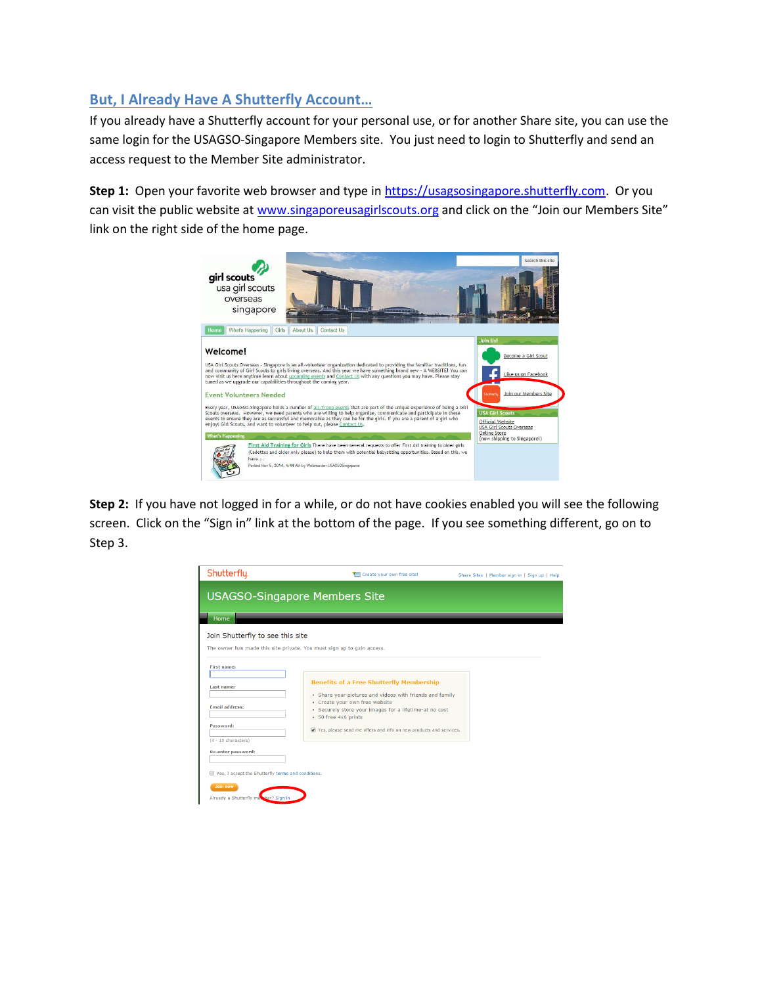### **But, I Already Have A Shutterfly Account…**

If you already have a Shutterfly account for your personal use, or for another Share site, you can use the same login for the USAGSO-Singapore Members site. You just need to login to Shutterfly and send an access request to the Member Site administrator.

Step 1: Open your favorite web browser and type in [https://usagsosingapore.shutterfly.com.](https://usagsosingapore.shutterfly.com/) Or you can visit the public website a[t www.singaporeusagirlscouts.org](http://www.singaporeusagirlscouts.org/) and click on the "Join our Members Site" link on the right side of the home page.



**Step 2:** If you have not logged in for a while, or do not have cookies enabled you will see the following screen. Click on the "Sign in" link at the bottom of the page. If you see something different, go on to Step 3.

| Shutterfly.                                          | Create your own free site!                                                                                       | Share Sites   Member sign in   Sign up   Help |
|------------------------------------------------------|------------------------------------------------------------------------------------------------------------------|-----------------------------------------------|
|                                                      | <b>USAGSO-Singapore Members Site</b>                                                                             |                                               |
| <b>Home</b><br>Join Shutterfly to see this site      | The owner has made this site private. You must sign up to gain access.                                           |                                               |
| <b>First name:</b>                                   |                                                                                                                  |                                               |
| Last name:                                           | <b>Benefits of a Free Shutterfly Membership</b><br>• Share your pictures and videos with friends and family      |                                               |
| <b>Email address:</b>                                | • Create your own free website<br>• Securely store your images for a lifetime-at no cost<br>· 50 free 4x6 prints |                                               |
| Password:<br>$(4 - 10$ characters)                   | Yes, please send me offers and info on new products and services.                                                |                                               |
| Re-enter password:                                   |                                                                                                                  |                                               |
| ■ Yes, I accept the Shutterfly terms and conditions. |                                                                                                                  |                                               |
| Join now<br>Already a Shutterfly met ber? Sign in    |                                                                                                                  |                                               |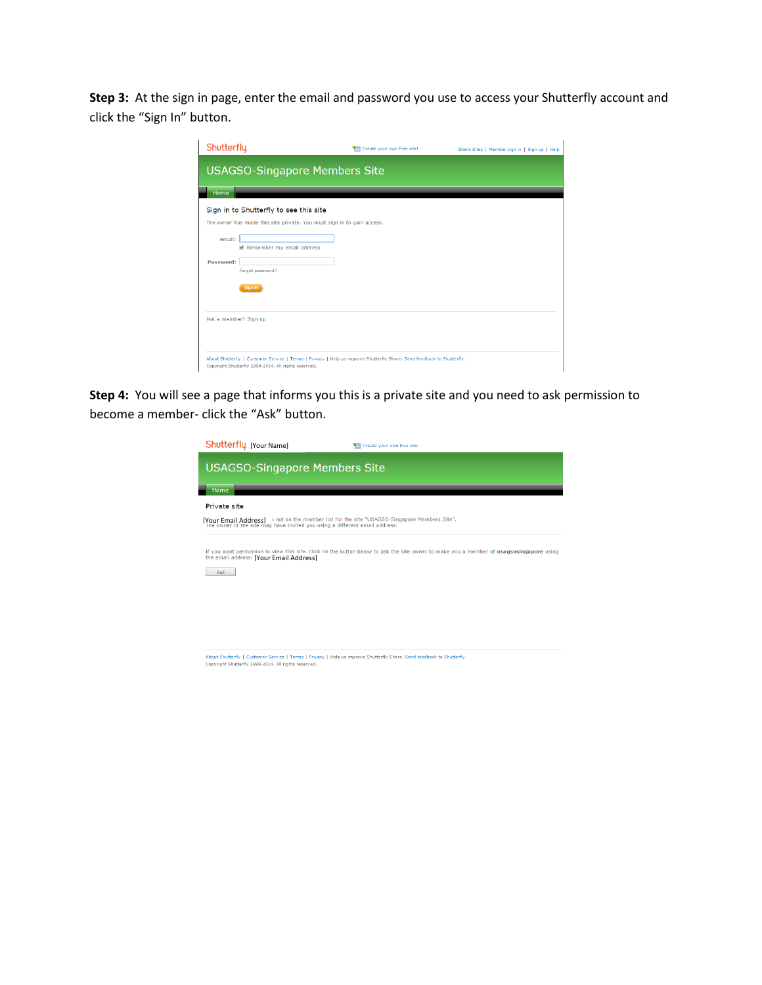**Step 3:** At the sign in page, enter the email and password you use to access your Shutterfly account and click the "Sign In" button.

| Shutterfly.                                                            | Create your own free site!                                                                                             | Share Sites   Member sign in   Sign up   Help |
|------------------------------------------------------------------------|------------------------------------------------------------------------------------------------------------------------|-----------------------------------------------|
| <b>USAGSO-Singapore Members Site</b>                                   |                                                                                                                        |                                               |
| Home                                                                   |                                                                                                                        |                                               |
| Sign in to Shutterfly to see this site                                 |                                                                                                                        |                                               |
| The owner has made this site private. You must sign in to gain access. |                                                                                                                        |                                               |
| Email:                                                                 |                                                                                                                        |                                               |
| Remember my email address                                              |                                                                                                                        |                                               |
| Password:                                                              |                                                                                                                        |                                               |
| Forgot password?                                                       |                                                                                                                        |                                               |
| Sign in                                                                |                                                                                                                        |                                               |
|                                                                        |                                                                                                                        |                                               |
| Not a member? Sign up                                                  |                                                                                                                        |                                               |
|                                                                        |                                                                                                                        |                                               |
|                                                                        |                                                                                                                        |                                               |
|                                                                        | About Shutterfly   Customer Service   Terms   Privacy   Help us improve Shutterfly Share. Send feedback to Shutterfly. |                                               |
| Copyright Shutterfly 1999-2014. All rights reserved.                   |                                                                                                                        |                                               |

**Step 4:** You will see a page that informs you this is a private site and you need to ask permission to become a member- click the "Ask" button.

| Shutterfly [Your Name]                                                                                                                                                     | Create your own free site!                                                                                                              |
|----------------------------------------------------------------------------------------------------------------------------------------------------------------------------|-----------------------------------------------------------------------------------------------------------------------------------------|
| <b>USAGSO-Singapore Members Site</b>                                                                                                                                       |                                                                                                                                         |
| Home                                                                                                                                                                       |                                                                                                                                         |
| Private site                                                                                                                                                               |                                                                                                                                         |
| [Your Email Address] 3 not on the member list for the site "USAGSO-Singapore Members Site".<br>The owner of the site may have invited you using a different email address. |                                                                                                                                         |
| the email address: [Your Email Address]<br>Ask                                                                                                                             | If you want permission to view this site, click on the button below to ask the site owner to make you a member of usaqsosingapore using |
|                                                                                                                                                                            |                                                                                                                                         |
|                                                                                                                                                                            |                                                                                                                                         |
|                                                                                                                                                                            |                                                                                                                                         |

About Shutterfly | Customer Service | Terms | Privacy | Help us improve Shutterfly Share. Send feedback to Shutterfly.<br>Copyright Shutterfly 1999-2014. All rights reserved.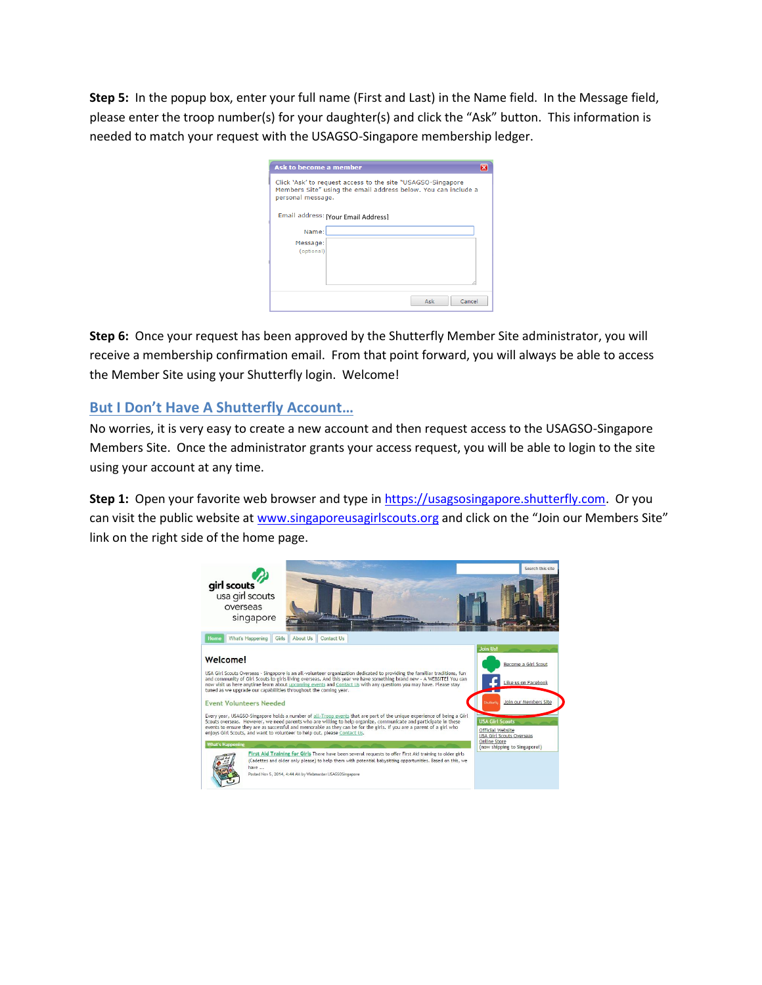**Step 5:** In the popup box, enter your full name (First and Last) in the Name field. In the Message field, please enter the troop number(s) for your daughter(s) and click the "Ask" button. This information is needed to match your request with the USAGSO-Singapore membership ledger.

| <b>Ask to become a member</b>                                                                                                                      | × |
|----------------------------------------------------------------------------------------------------------------------------------------------------|---|
| Click 'Ask' to request access to the site "USAGSO-Singapore<br>Members Site" using the email address below. You can include a<br>personal message. |   |
| Email address: [Your Email Address]                                                                                                                |   |
| Name:                                                                                                                                              |   |
| Message:<br>(optional)                                                                                                                             |   |
|                                                                                                                                                    |   |
| Ask<br>Cancel                                                                                                                                      |   |

**Step 6:** Once your request has been approved by the Shutterfly Member Site administrator, you will receive a membership confirmation email. From that point forward, you will always be able to access the Member Site using your Shutterfly login. Welcome!

#### **But I Don't Have A Shutterfly Account…**

No worries, it is very easy to create a new account and then request access to the USAGSO-Singapore Members Site. Once the administrator grants your access request, you will be able to login to the site using your account at any time.

**Step 1:** Open your favorite web browser and type in [https://usagsosingapore.shutterfly.com.](https://usagsosingapore.shutterfly.com/) Or you can visit the public website a[t www.singaporeusagirlscouts.org](http://www.singaporeusagirlscouts.org/) and click on the "Join our Members Site" link on the right side of the home page.

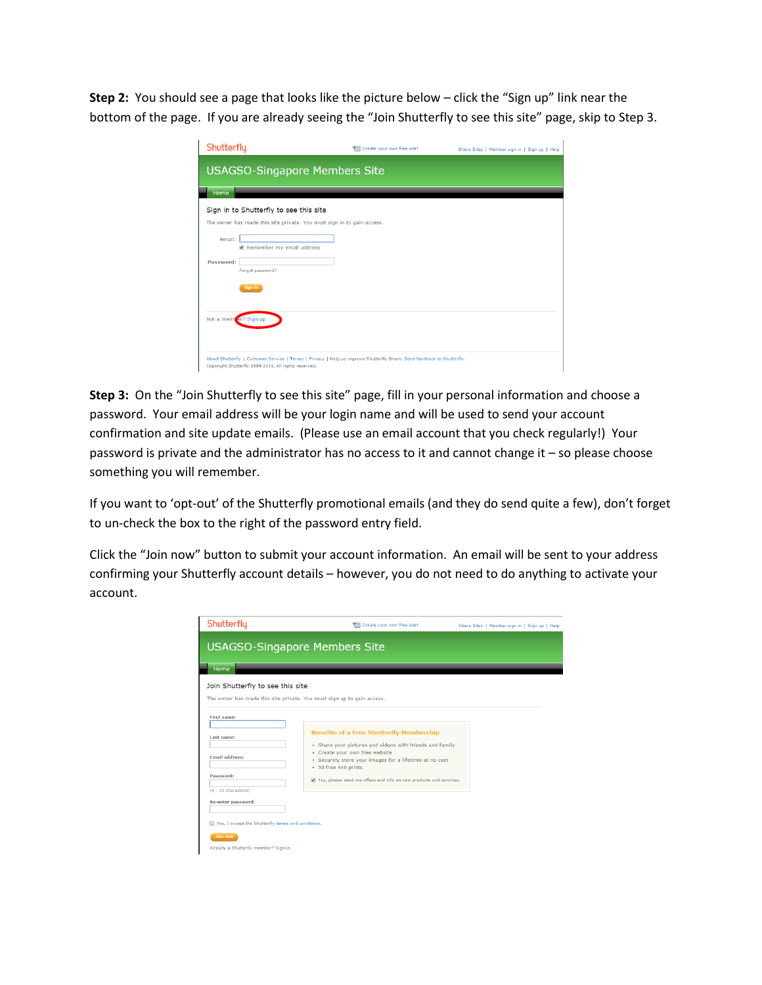**Step 2:** You should see a page that looks like the picture below – click the "Sign up" link near the bottom of the page. If you are already seeing the "Join Shutterfly to see this site" page, skip to Step 3.

| Shutterfly.                                                            | Create your own free site!                                                                                             | Share Sites   Member sign in   Sign up   Help |
|------------------------------------------------------------------------|------------------------------------------------------------------------------------------------------------------------|-----------------------------------------------|
| <b>USAGSO-Singapore Members Site</b>                                   |                                                                                                                        |                                               |
| Home                                                                   |                                                                                                                        |                                               |
| Sign in to Shutterfly to see this site                                 |                                                                                                                        |                                               |
| The owner has made this site private. You must sign in to gain access. |                                                                                                                        |                                               |
| Email:<br>Remember my email address                                    |                                                                                                                        |                                               |
| Password:<br>Forgot password?                                          |                                                                                                                        |                                               |
| Sign in                                                                |                                                                                                                        |                                               |
|                                                                        |                                                                                                                        |                                               |
| Not a member? Sign up                                                  |                                                                                                                        |                                               |
|                                                                        |                                                                                                                        |                                               |
| Copyright Shutterfly 1999-2014. All rights reserved.                   | About Shutterfly   Customer Service   Terms   Privacy   Help us improve Shutterfly Share. Send feedback to Shutterfly. |                                               |

**Step 3:** On the "Join Shutterfly to see this site" page, fill in your personal information and choose a password. Your email address will be your login name and will be used to send your account confirmation and site update emails. (Please use an email account that you check regularly!) Your password is private and the administrator has no access to it and cannot change it – so please choose something you will remember.

If you want to 'opt-out' of the Shutterfly promotional emails (and they do send quite a few), don't forget to un-check the box to the right of the password entry field.

Click the "Join now" button to submit your account information. An email will be sent to your address confirming your Shutterfly account details – however, you do not need to do anything to activate your account.

| Shutterfly.                                                                                                                  | Create your own free site!                                                                                                                                                                                                                                                                           | Share Sites   Member sign in   Sign up   Help |
|------------------------------------------------------------------------------------------------------------------------------|------------------------------------------------------------------------------------------------------------------------------------------------------------------------------------------------------------------------------------------------------------------------------------------------------|-----------------------------------------------|
| <b>USAGSO-Singapore Members Site</b>                                                                                         |                                                                                                                                                                                                                                                                                                      |                                               |
| Home                                                                                                                         |                                                                                                                                                                                                                                                                                                      |                                               |
| Join Shutterfly to see this site<br>The owner has made this site private. You must sign up to gain access.                   |                                                                                                                                                                                                                                                                                                      |                                               |
| <b>First name:</b><br>Last name:<br><b>Email address:</b><br>Password:<br>$(4 - 10$ characters)                              | <b>Benefits of a Free Shutterfly Membership</b><br>• Share your pictures and videos with friends and family<br>• Create your own free website<br>· Securely store your images for a lifetime-at no cost<br>· 50 free 4x6 prints<br>Yes, please send me offers and info on new products and services. |                                               |
| Re-enter password:<br>Yes, I accept the Shutterfly terms and conditions.<br>Join now<br>Already a Shutterfly member? Sign in |                                                                                                                                                                                                                                                                                                      |                                               |